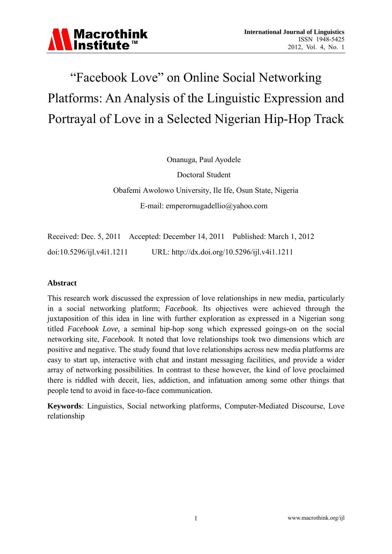

## "Facebook Love" on Online Social Networking Platforms: An Analysis of the Linguistic Expression and Portrayal of Love in a Selected Nigerian Hip-Hop Track

Onanuga, Paul Ayodele

Doctoral Student Obafemi Awolowo University, Ile Ife, Osun State, Nigeria E-mail: emperornugadellio@yahoo.com

Received: Dec. 5, 2011 Accepted: December 14, 2011 Published: March 1, 2012 doi:10.5296/ijl.v4i1.1211 URL: http://dx.doi.org/10.5296/ijl.v4i1.1211

#### **Abstract**

This research work discussed the expression of love relationships in new media, particularly in a social networking platform; *Facebook*. Its objectives were achieved through the juxtaposition of this idea in line with further exploration as expressed in a Nigerian song titled *Facebook Love,* a seminal hip-hop song which expressed goings-on on the social networking site, *Facebook*. It noted that love relationships took two dimensions which are positive and negative. The study found that love relationships across new media platforms are easy to start up, interactive with chat and instant messaging facilities, and provide a wider array of networking possibilities. In contrast to these however, the kind of love proclaimed there is riddled with deceit, lies, addiction, and infatuation among some other things that people tend to avoid in face-to-face communication.

**Keywords**: Linguistics, Social networking platforms, Computer-Mediated Discourse, Love relationship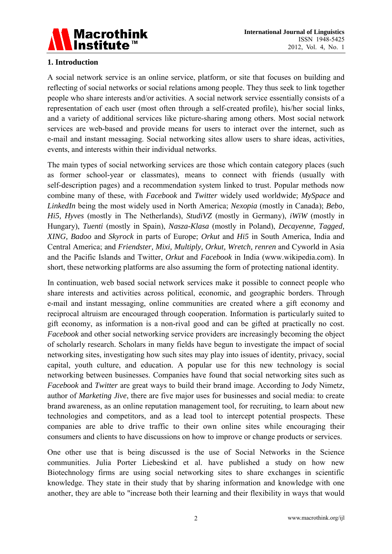

#### **1. Introduction**

A social network service is an online service, platform, or site that focuses on building and reflecting of social networks or social relations among people. They thus seek to link together people who share interests and/or activities. A social network service essentially consists of a representation of each user (most often through a self-created profile), his/her social links, and a variety of additional services like picture-sharing among others. Most social network services are web-based and provide means for users to interact over the internet, such as e-mail and instant messaging. Social networking sites allow users to share ideas, activities, events, and interests within their individual networks.

The main types of social networking services are those which contain category places (such as former school-year or classmates), means to connect with friends (usually with self-description pages) and a recommendation system linked to trust. Popular methods now combine many of these, with *Facebook* and *Twitter* widely used worldwide; *MySpace* and *LinkedIn* being the most widely used in North America; *Nexopia* (mostly in Canada); *Bebo, Hi5, Hyves* (mostly in The Netherlands), *StudiVZ* (mostly in Germany), *iWiW* (mostly in Hungary), *Tuenti* (mostly in Spain), *Nasza-Klasa* (mostly in Poland), *Decayenne, Tagged, XING, Badoo* and *Skyrock* in parts of Europe; *Orkut* and *Hi5* in South America, India and Central America; and *Friendster, Mixi, Multiply, Orkut, Wretch, renren* and Cyworld in Asia and the Pacific Islands and Twitter, *Orkut* and *Facebook* in India (www.wikipedia.com). In short, these networking platforms are also assuming the form of protecting national identity.

In continuation, web based social network services make it possible to connect people who share interests and activities across political, economic, and geographic borders. Through e-mail and instant messaging, online communities are created where a gift economy and reciprocal altruism are encouraged through cooperation. Information is particularly suited to gift economy, as information is a non-rival good and can be gifted at practically no cost. *Facebook* and other social networking service providers are increasingly becoming the object of scholarly research. Scholars in many fields have begun to investigate the impact of social networking sites, investigating how such sites may play into issues of identity, privacy, social capital, youth culture, and education. A popular use for this new technology is social networking between businesses. Companies have found that social networking sites such as *Facebook* and *Twitter* are great ways to build their brand image. According to Jody Nimetz, author of *Marketing Jive*, there are five major uses for businesses and social media: to create brand awareness, as an online reputation management tool, for recruiting, to learn about new technologies and competitors, and as a lead tool to intercept potential prospects. These companies are able to drive traffic to their own online sites while encouraging their consumers and clients to have discussions on how to improve or change products or services.

One other use that is being discussed is the use of Social Networks in the Science communities. Julia Porter Liebeskind et al. have published a study on how new Biotechnology firms are using social networking sites to share exchanges in scientific knowledge. They state in their study that by sharing information and knowledge with one another, they are able to "increase both their learning and their flexibility in ways that would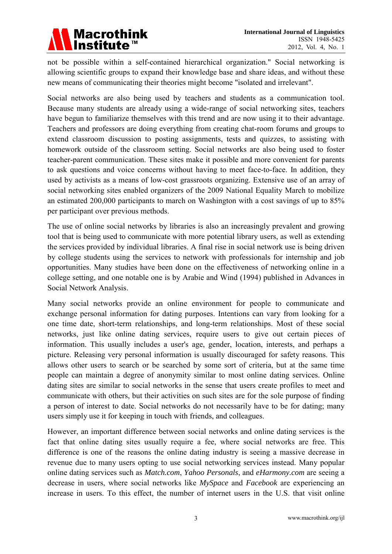# Macrothink<br>|Institute™

not be possible within a self-contained hierarchical organization." Social networking is allowing scientific groups to expand their knowledge base and share ideas, and without these new means of communicating their theories might become "isolated and irrelevant".

Social networks are also being used by teachers and students as a communication tool. Because many students are already using a wide-range of social networking sites, teachers have begun to familiarize themselves with this trend and are now using it to their advantage. Teachers and professors are doing everything from creating chat-room forums and groups to extend classroom discussion to posting assignments, tests and quizzes, to assisting with homework outside of the classroom setting. Social networks are also being used to foster teacher-parent communication. These sites make it possible and more convenient for parents to ask questions and voice concerns without having to meet face-to-face. In addition, they used by activists as a means of low-cost grassroots organizing. Extensive use of an array of social networking sites enabled organizers of the 2009 National Equality March to mobilize an estimated 200,000 participants to march on Washington with a cost savings of up to 85% per participant over previous methods.

The use of online social networks by libraries is also an increasingly prevalent and growing tool that is being used to communicate with more potential library users, as well as extending the services provided by individual libraries. A final rise in social network use is being driven by college students using the services to network with professionals for internship and job opportunities. Many studies have been done on the effectiveness of networking online in a college setting, and one notable one is by Arabie and Wind (1994) published in Advances in Social Network Analysis.

Many social networks provide an online environment for people to communicate and exchange personal information for dating purposes. Intentions can vary from looking for a one time date, short-term relationships, and long-term relationships. Most of these social networks, just like online dating services, require users to give out certain pieces of information. This usually includes a user's age, gender, location, interests, and perhaps a picture. Releasing very personal information is usually discouraged for safety reasons. This allows other users to search or be searched by some sort of criteria, but at the same time people can maintain a degree of anonymity similar to most online dating services. Online dating sites are similar to social networks in the sense that users create profiles to meet and communicate with others, but their activities on such sites are for the sole purpose of finding a person of interest to date. Social networks do not necessarily have to be for dating; many users simply use it for keeping in touch with friends, and colleagues.

However, an important difference between social networks and online dating services is the fact that online dating sites usually require a fee, where social networks are free. This difference is one of the reasons the online dating industry is seeing a massive decrease in revenue due to many users opting to use social networking services instead. Many popular online dating services such as *Match.com*, *Yahoo Personals*, and *eHarmony.com* are seeing a decrease in users, where social networks like *MySpace* and *Facebook* are experiencing an increase in users. To this effect, the number of internet users in the U.S. that visit online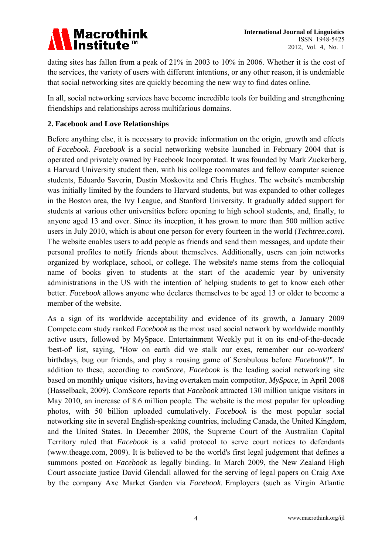

dating sites has fallen from a peak of 21% in 2003 to 10% in 2006. Whether it is the cost of the services, the variety of users with different intentions, or any other reason, it is undeniable that social networking sites are quickly becoming the new way to find dates online.

In all, social networking services have become incredible tools for building and strengthening friendships and relationships across multifarious domains.

#### **2. Facebook and Love Relationships**

Before anything else, it is necessary to provide information on the origin, growth and effects of *Facebook*. *Facebook* is a social networking website launched in February 2004 that is operated and privately owned by Facebook Incorporated. It was founded by Mark Zuckerberg, a Harvard University student then, with his college roommates and fellow computer science students, Eduardo Saverin, Dustin Moskovitz and Chris Hughes. The website's membership was initially limited by the founders to Harvard students, but was expanded to other colleges in the Boston area, the Ivy League, and Stanford University. It gradually added support for students at various other universities before opening to high school students, and, finally, to anyone aged 13 and over. Since its inception, it has grown to more than 500 million active users in July 2010, which is about one person for every fourteen in the world (*Techtree.com*). The website enables users to add people as friends and send them messages, and update their personal profiles to notify friends about themselves. Additionally, users can join networks organized by workplace, school, or college. The website's name stems from the colloquial name of books given to students at the start of the academic year by university administrations in the US with the intention of helping students to get to know each other better. *Facebook* allows anyone who declares themselves to be aged 13 or older to become a member of the website.

As a sign of its worldwide acceptability and evidence of its growth, a January 2009 Compete.com study ranked *Facebook* as the most used social network by worldwide monthly active users, followed by MySpace. Entertainment Weekly put it on its end-of-the-decade 'best-of' list, saying, "How on earth did we stalk our exes, remember our co-workers' birthdays, bug our friends, and play a rousing game of Scrabulous before *Facebook*?". In addition to these, according to *comScore*, *Facebook* is the leading social networking site based on monthly unique visitors, having overtaken main competitor, *MySpace*, in April 2008 (Hasselback, 2009). ComScore reports that *Facebook* attracted 130 million unique visitors in May 2010, an increase of 8.6 million people. The website is the most popular for uploading photos, with 50 billion uploaded cumulatively. *Facebook* is the most popular social networking site in several English-speaking countries, including Canada, the United Kingdom, and the United States. In December 2008, the Supreme Court of the Australian Capital Territory ruled that *Facebook* is a valid protocol to serve court notices to defendants (www.theage.com, 2009). It is believed to be the world's first legal judgement that defines a summons posted on *Facebook* as legally binding. In March 2009, the New Zealand High Court associate justice David Glendall allowed for the serving of legal papers on Craig Axe by the company Axe Market Garden via *Facebook*. Employers (such as Virgin Atlantic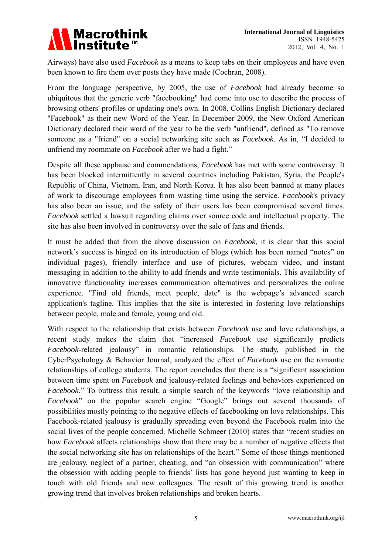

Airways) have also used *Facebook* as a means to keep tabs on their employees and have even been known to fire them over posts they have made (Cochran, 2008).

From the language perspective, by 2005, the use of *Facebook* had already become so ubiquitous that the generic verb "facebooking" had come into use to describe the process of browsing others' profiles or updating one's own. In 2008, Collins English Dictionary declared "Facebook" as their new Word of the Year. In December 2009, the New Oxford American Dictionary declared their word of the year to be the verb "unfriend", defined as "To remove someone as a "friend" on a social networking site such as *Facebook*. As in, "I decided to unfriend my roommate on *Facebook* after we had a fight."

Despite all these applause and commendations, *Facebook* has met with some controversy. It has been blocked intermittently in several countries including Pakistan, Syria, the People's Republic of China, Vietnam, Iran, and North Korea. It has also been banned at many places of work to discourage employees from wasting time using the service. *Facebook*'s privacy has also been an issue, and the safety of their users has been compromised several times. *Facebook* settled a lawsuit regarding claims over source code and intellectual property. The site has also been involved in controversy over the sale of fans and friends.

It must be added that from the above discussion on *Facebook*, it is clear that this social network's success is hinged on its introduction of blogs (which has been named "notes" on individual pages), friendly interface and use of pictures, webcam video, and instant messaging in addition to the ability to add friends and write testimonials. This availability of innovative functionality increases communication alternatives and personalizes the online experience. "Find old friends, meet people, date" is the webpage's advanced search application's tagline. This implies that the site is interested in fostering love relationships between people, male and female, young and old.

With respect to the relationship that exists between *Facebook* use and love relationships, a recent study makes the claim that "increased *Facebook* use significantly predicts *Facebook*-related jealousy" in romantic relationships. The study, published in the CyberPsychology & Behavior Journal, analyzed the effect of *Facebook* use on the romantic relationships of college students. The report concludes that there is a "significant association between time spent on *Facebook* and jealousy-related feelings and behaviors experienced on *Facebook*." To buttress this result, a simple search of the keywords "love relationship and *Facebook*" on the popular search engine "Google" brings out several thousands of possibilities mostly pointing to the negative effects of facebooking on love relationships. This Facebook-related jealousy is gradually spreading even beyond the Facebook realm into the social lives of the people concerned. Michelle Schmeer (2010) states that "recent studies on how *Facebook* affects relationships show that there may be a number of negative effects that the social networking site has on relationships of the heart." Some of those things mentioned are jealousy, neglect of a partner, cheating, and "an obsession with communication" where the obsession with adding people to friends' lists has gone beyond just wanting to keep in touch with old friends and new colleagues. The result of this growing trend is another growing trend that involves broken relationships and broken hearts.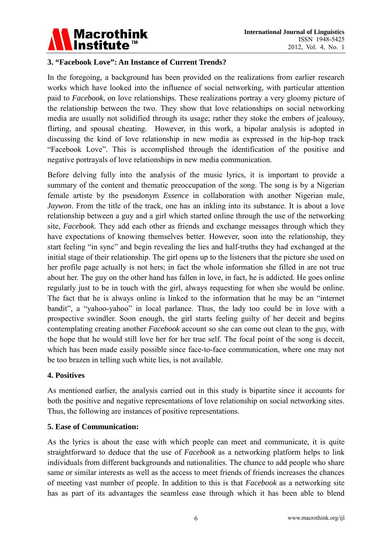

#### **3. "Facebook Love": An Instance of Current Trends?**

In the foregoing, a background has been provided on the realizations from earlier research works which have looked into the influence of social networking, with particular attention paid to *Facebook*, on love relationships. These realizations portray a very gloomy picture of the relationship between the two. They show that love relationships on social networking media are usually not solidified through its usage; rather they stoke the embers of jealousy, flirting, and spousal cheating. However, in this work, a bipolar analysis is adopted in discussing the kind of love relationship in new media as expressed in the hip-hop track "Facebook Love". This is accomplished through the identification of the positive and negative portrayals of love relationships in new media communication.

Before delving fully into the analysis of the music lyrics, it is important to provide a summary of the content and thematic preoccupation of the song. The song is by a Nigerian female artiste by the pseudonym *Essence* in collaboration with another Nigerian male, *Jaywon*. From the title of the track, one has an inkling into its substance. It is about a love relationship between a guy and a girl which started online through the use of the networking site, *Facebook.* They add each other as friends and exchange messages through which they have expectations of knowing themselves better. However, soon into the relationship, they start feeling "in sync" and begin revealing the lies and half-truths they had exchanged at the initial stage of their relationship. The girl opens up to the listeners that the picture she used on her profile page actually is not hers; in fact the whole information she filled in are not true about her. The guy on the other hand has fallen in love, in fact, he is addicted. He goes online regularly just to be in touch with the girl, always requesting for when she would be online. The fact that he is always online is linked to the information that he may be an "internet bandit", a "yahoo-yahoo" in local parlance. Thus, the lady too could be in love with a prospective swindler. Soon enough, the girl starts feeling guilty of her deceit and begins contemplating creating another *Facebook* account so she can come out clean to the guy, with the hope that he would still love her for her true self. The focal point of the song is deceit, which has been made easily possible since face-to-face communication, where one may not be too brazen in telling such white lies, is not available.

#### **4. Positives**

As mentioned earlier, the analysis carried out in this study is bipartite since it accounts for both the positive and negative representations of love relationship on social networking sites. Thus, the following are instances of positive representations.

#### **5. Ease of Communication:**

As the lyrics is about the ease with which people can meet and communicate, it is quite straightforward to deduce that the use of *Facebook* as a networking platform helps to link individuals from different backgrounds and nationalities. The chance to add people who share same or similar interests as well as the access to meet friends of friends increases the chances of meeting vast number of people. In addition to this is that *Facebook* as a networking site has as part of its advantages the seamless ease through which it has been able to blend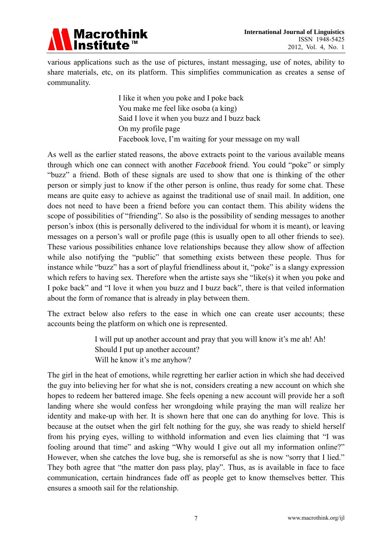

various applications such as the use of pictures, instant messaging, use of notes, ability to share materials, etc, on its platform. This simplifies communication as creates a sense of communality.

> I like it when you poke and I poke back You make me feel like osoba (a king) Said I love it when you buzz and I buzz back On my profile page Facebook love, I'm waiting for your message on my wall

As well as the earlier stated reasons, the above extracts point to the various available means through which one can connect with another *Facebook* friend. You could "poke" or simply "buzz" a friend. Both of these signals are used to show that one is thinking of the other person or simply just to know if the other person is online, thus ready for some chat. These means are quite easy to achieve as against the traditional use of snail mail. In addition, one does not need to have been a friend before you can contact them. This ability widens the scope of possibilities of "friending". So also is the possibility of sending messages to another person's inbox (this is personally delivered to the individual for whom it is meant), or leaving messages on a person's wall or profile page (this is usually open to all other friends to see). These various possibilities enhance love relationships because they allow show of affection while also notifying the "public" that something exists between these people. Thus for instance while "buzz" has a sort of playful friendliness about it, "poke" is a slangy expression which refers to having sex. Therefore when the artiste says she "like(s) it when you poke and I poke back" and "I love it when you buzz and I buzz back", there is that veiled information about the form of romance that is already in play between them.

The extract below also refers to the ease in which one can create user accounts; these accounts being the platform on which one is represented.

> I will put up another account and pray that you will know it's me ah! Ah! Should I put up another account? Will he know it's me anyhow?

The girl in the heat of emotions, while regretting her earlier action in which she had deceived the guy into believing her for what she is not, considers creating a new account on which she hopes to redeem her battered image. She feels opening a new account will provide her a soft landing where she would confess her wrongdoing while praying the man will realize her identity and make-up with her. It is shown here that one can do anything for love. This is because at the outset when the girl felt nothing for the guy, she was ready to shield herself from his prying eyes, willing to withhold information and even lies claiming that "I was fooling around that time" and asking "Why would I give out all my information online?" However, when she catches the love bug, she is remorseful as she is now "sorry that I lied." They both agree that "the matter don pass play, play". Thus, as is available in face to face communication, certain hindrances fade off as people get to know themselves better. This ensures a smooth sail for the relationship.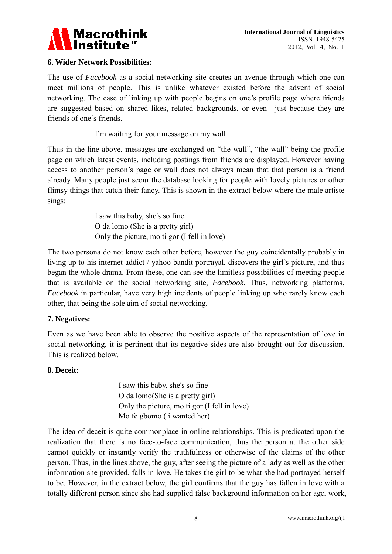

#### **6. Wider Network Possibilities:**

The use of *Facebook* as a social networking site creates an avenue through which one can meet millions of people. This is unlike whatever existed before the advent of social networking. The ease of linking up with people begins on one's profile page where friends are suggested based on shared likes, related backgrounds, or even just because they are friends of one's friends.

I'm waiting for your message on my wall

Thus in the line above, messages are exchanged on "the wall", "the wall" being the profile page on which latest events, including postings from friends are displayed. However having access to another person's page or wall does not always mean that that person is a friend already. Many people just scour the database looking for people with lovely pictures or other flimsy things that catch their fancy. This is shown in the extract below where the male artiste sings:

> I saw this baby, she's so fine O da lomo (She is a pretty girl) Only the picture, mo ti gor (I fell in love)

The two persona do not know each other before, however the guy coincidentally probably in living up to his internet addict / yahoo bandit portrayal, discovers the girl's picture, and thus began the whole drama. From these, one can see the limitless possibilities of meeting people that is available on the social networking site, *Facebook*. Thus, networking platforms, *Facebook* in particular, have very high incidents of people linking up who rarely know each other, that being the sole aim of social networking.

#### **7. Negatives:**

Even as we have been able to observe the positive aspects of the representation of love in social networking, it is pertinent that its negative sides are also brought out for discussion. This is realized below.

#### **8. Deceit**:

I saw this baby, she's so fine O da lomo(She is a pretty girl) Only the picture, mo ti gor (I fell in love) Mo fe gbomo ( i wanted her)

The idea of deceit is quite commonplace in online relationships. This is predicated upon the realization that there is no face-to-face communication, thus the person at the other side cannot quickly or instantly verify the truthfulness or otherwise of the claims of the other person. Thus, in the lines above, the guy, after seeing the picture of a lady as well as the other information she provided, falls in love. He takes the girl to be what she had portrayed herself to be. However, in the extract below, the girl confirms that the guy has fallen in love with a totally different person since she had supplied false background information on her age, work,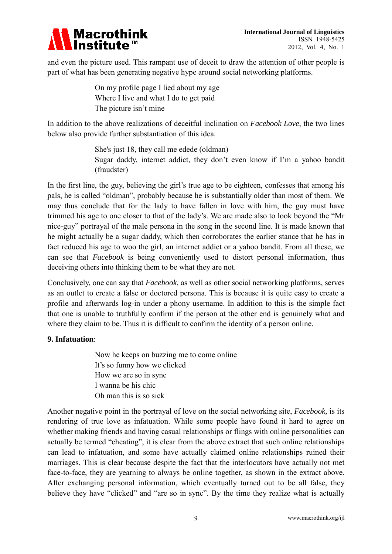

and even the picture used. This rampant use of deceit to draw the attention of other people is part of what has been generating negative hype around social networking platforms.

> On my profile page I lied about my age Where I live and what I do to get paid The picture isn't mine

In addition to the above realizations of deceitful inclination on *Facebook Love*, the two lines below also provide further substantiation of this idea.

> She's just 18, they call me edede (oldman) Sugar daddy, internet addict, they don't even know if I'm a yahoo bandit (fraudster)

In the first line, the guy, believing the girl's true age to be eighteen, confesses that among his pals, he is called "oldman", probably because he is substantially older than most of them. We may thus conclude that for the lady to have fallen in love with him, the guy must have trimmed his age to one closer to that of the lady's. We are made also to look beyond the "Mr nice-guy" portrayal of the male persona in the song in the second line. It is made known that he might actually be a sugar daddy, which then corroborates the earlier stance that he has in fact reduced his age to woo the girl, an internet addict or a yahoo bandit. From all these, we can see that *Facebook* is being conveniently used to distort personal information, thus deceiving others into thinking them to be what they are not.

Conclusively, one can say that *Facebook*, as well as other social networking platforms, serves as an outlet to create a false or doctored persona. This is because it is quite easy to create a profile and afterwards log-in under a phony username. In addition to this is the simple fact that one is unable to truthfully confirm if the person at the other end is genuinely what and where they claim to be. Thus it is difficult to confirm the identity of a person online.

#### **9. Infatuation**:

Now he keeps on buzzing me to come online It's so funny how we clicked How we are so in sync I wanna be his chic Oh man this is so sick

Another negative point in the portrayal of love on the social networking site, *Facebook,* is its rendering of true love as infatuation. While some people have found it hard to agree on whether making friends and having casual relationships or flings with online personalities can actually be termed "cheating", it is clear from the above extract that such online relationships can lead to infatuation, and some have actually claimed online relationships ruined their marriages. This is clear because despite the fact that the interlocutors have actually not met face-to-face, they are yearning to always be online together, as shown in the extract above. After exchanging personal information, which eventually turned out to be all false, they believe they have "clicked" and "are so in sync". By the time they realize what is actually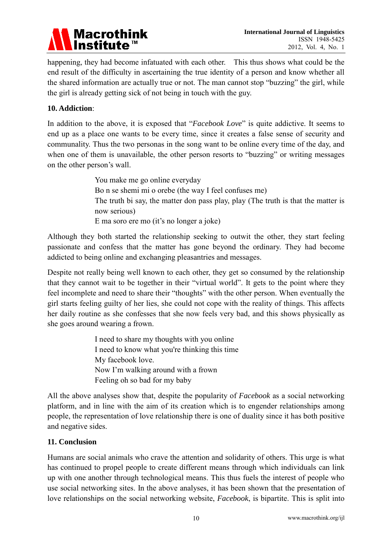

happening, they had become infatuated with each other. This thus shows what could be the end result of the difficulty in ascertaining the true identity of a person and know whether all the shared information are actually true or not. The man cannot stop "buzzing" the girl, while the girl is already getting sick of not being in touch with the guy.

#### **10. Addiction**:

In addition to the above, it is exposed that "*Facebook Love*" is quite addictive. It seems to end up as a place one wants to be every time, since it creates a false sense of security and communality. Thus the two personas in the song want to be online every time of the day, and when one of them is unavailable, the other person resorts to "buzzing" or writing messages on the other person's wall.

> You make me go online everyday Bo n se shemi mi o orebe (the way I feel confuses me) The truth bi say, the matter don pass play, play (The truth is that the matter is now serious) E ma soro ere mo (it's no longer a joke)

Although they both started the relationship seeking to outwit the other, they start feeling passionate and confess that the matter has gone beyond the ordinary. They had become addicted to being online and exchanging pleasantries and messages.

Despite not really being well known to each other, they get so consumed by the relationship that they cannot wait to be together in their "virtual world". It gets to the point where they feel incomplete and need to share their "thoughts" with the other person. When eventually the girl starts feeling guilty of her lies, she could not cope with the reality of things. This affects her daily routine as she confesses that she now feels very bad, and this shows physically as she goes around wearing a frown.

> I need to share my thoughts with you online I need to know what you're thinking this time My facebook love. Now I'm walking around with a frown Feeling oh so bad for my baby

All the above analyses show that, despite the popularity of *Facebook* as a social networking platform, and in line with the aim of its creation which is to engender relationships among people, the representation of love relationship there is one of duality since it has both positive and negative sides.

#### **11. Conclusion**

Humans are social animals who crave the attention and solidarity of others. This urge is what has continued to propel people to create different means through which individuals can link up with one another through technological means. This thus fuels the interest of people who use social networking sites. In the above analyses, it has been shown that the presentation of love relationships on the social networking website, *Facebook*, is bipartite. This is split into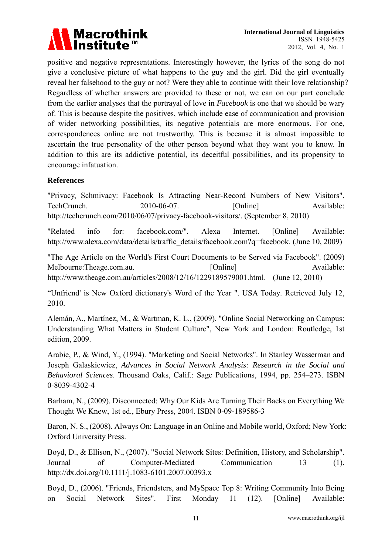

positive and negative representations. Interestingly however, the lyrics of the song do not give a conclusive picture of what happens to the guy and the girl. Did the girl eventually reveal her falsehood to the guy or not? Were they able to continue with their love relationship? Regardless of whether answers are provided to these or not, we can on our part conclude from the earlier analyses that the portrayal of love in *Facebook* is one that we should be wary of. This is because despite the positives, which include ease of communication and provision of wider networking possibilities, its negative potentials are more enormous. For one, correspondences online are not trustworthy. This is because it is almost impossible to ascertain the true personality of the other person beyond what they want you to know. In addition to this are its addictive potential, its deceitful possibilities, and its propensity to encourage infatuation.

#### **References**

"Privacy, Schmivacy: Facebook Is Attracting Near-Record Numbers of New Visitors". TechCrunch. 2010-06-07. [Online] Available: http://techcrunch.com/2010/06/07/privacy-facebook-visitors/. (September 8, 2010)

"Related info for: facebook.com/". Alexa Internet. [Online] Available: http://www.alexa.com/data/details/traffic\_details/facebook.com?q=facebook. (June 10, 2009)

"The Age Article on the World's First Court Documents to be Served via Facebook". (2009) Melbourne:Theage.com.au. [Online] Melbourne:Theage.com.au. http://www.theage.com.au/articles/2008/12/16/1229189579001.html. (June 12, 2010)

"Unfriend' is New Oxford dictionary's Word of the Year ". USA Today. Retrieved July 12, 2010.

Alemán, A., Martínez, M., & Wartman, K. L., (2009). "Online Social Networking on Campus: Understanding What Matters in Student Culture", New York and London: Routledge, 1st edition, 2009.

Arabie, P., & Wind, Y., (1994). "Marketing and Social Networks". In Stanley Wasserman and Joseph Galaskiewicz, *Advances in Social Network Analysis: Research in the Social and Behavioral Sciences*. Thousand Oaks, Calif.: Sage Publications, 1994, pp. 254–273. ISBN 0-8039-4302-4

Barham, N., (2009). Disconnected: Why Our Kids Are Turning Their Backs on Everything We Thought We Knew, 1st ed., Ebury Press, 2004. ISBN 0-09-189586-3

Baron, N. S., (2008). Always On: Language in an Online and Mobile world, Oxford; New York: Oxford University Press.

Boyd, D., & Ellison, N., (2007). "Social Network Sites: Definition, History, and Scholarship". Journal of Computer-Mediated Communication 13 (1). http://dx.doi.org/10.1111/j.1083-6101.2007.00393.x

Boyd, D., (2006). "Friends, Friendsters, and MySpace Top 8: Writing Community Into Being on Social Network Sites". First Monday 11 (12). [Online] Available: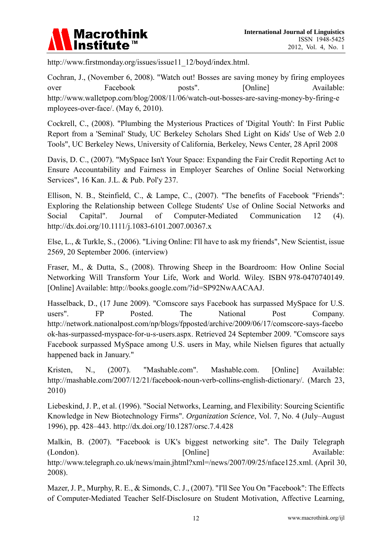

http://www.firstmonday.org/issues/issue11\_12/boyd/index.html.

Cochran, J., (November 6, 2008). "Watch out! Bosses are saving money by firing employees over Facebook posts". [Online] Available: http://www.walletpop.com/blog/2008/11/06/watch-out-bosses-are-saving-money-by-firing-e mployees-over-face/. (May 6, 2010).

Cockrell, C., (2008). "Plumbing the Mysterious Practices of 'Digital Youth': In First Public Report from a 'Seminal' Study, UC Berkeley Scholars Shed Light on Kids' Use of Web 2.0 Tools", UC Berkeley News, University of California, Berkeley, News Center, 28 April 2008

Davis, D. C., (2007). "MySpace Isn't Your Space: Expanding the Fair Credit Reporting Act to Ensure Accountability and Fairness in Employer Searches of Online Social Networking Services", 16 Kan. J.L. & Pub. Pol'y 237.

Ellison, N. B., Steinfield, C., & Lampe, C., (2007). "The benefits of Facebook "Friends": Exploring the Relationship between College Students' Use of Online Social Networks and Social Capital". Journal of Computer-Mediated Communication 12 (4). http://dx.doi.org/10.1111/j.1083-6101.2007.00367.x

Else, L., & Turkle, S., (2006). "Living Online: I'll have to ask my friends", New Scientist, issue 2569, 20 September 2006. (interview)

Fraser, M., & Dutta, S., (2008). Throwing Sheep in the Boardroom: How Online Social Networking Will Transform Your Life, Work and World. Wiley. ISBN 978-0470740149. [Online] Available: http://books.google.com/?id=SP92NwAACAAJ.

Hasselback, D., (17 June 2009). "Comscore says Facebook has surpassed MySpace for U.S. users". FP Posted. The National Post Company. http://network.nationalpost.com/np/blogs/fpposted/archive/2009/06/17/comscore-says-facebo ok-has-surpassed-myspace-for-u-s-users.aspx. Retrieved 24 September 2009. "Comscore says Facebook surpassed MySpace among U.S. users in May, while Nielsen figures that actually happened back in January."

Kristen, N., (2007). "Mashable.com". Mashable.com. [Online] Available: http://mashable.com/2007/12/21/facebook-noun-verb-collins-english-dictionary/. (March 23, 2010)

Liebeskind, J. P., et al. (1996). "Social Networks, Learning, and Flexibility: Sourcing Scientific Knowledge in New Biotechnology Firms". *Organization Science*, Vol. 7, No. 4 (July–August 1996), pp. 428–443. http://dx.doi.org/10.1287/orsc.7.4.428

Malkin, B. (2007). "Facebook is UK's biggest networking site". The Daily Telegraph (London). [Online] Available: http://www.telegraph.co.uk/news/main.jhtml?xml=/news/2007/09/25/nface125.xml. (April 30, 2008).

Mazer, J. P., Murphy, R. E., & Simonds, C. J., (2007). "I'll See You On "Facebook": The Effects of Computer-Mediated Teacher Self-Disclosure on Student Motivation, Affective Learning,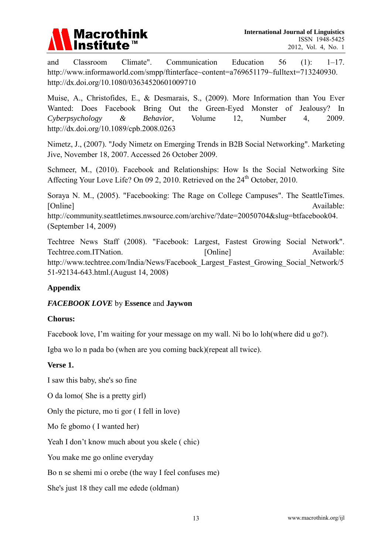

and Classroom Climate". Communication Education 56 (1): 1–17. http://www.informaworld.com/smpp/ftinterface~content=a769651179~fulltext=713240930. http://dx.doi.org/10.1080/03634520601009710

Muise, A., Christofides, E., & Desmarais, S., (2009). More Information than You Ever Wanted: Does Facebook Bring Out the Green-Eyed Monster of Jealousy? In *Cyberpsychology & Behavior*, Volume 12, Number 4, 2009. http://dx.doi.org/10.1089/cpb.2008.0263

Nimetz, J., (2007). "Jody Nimetz on Emerging Trends in B2B Social Networking". Marketing Jive, November 18, 2007. Accessed 26 October 2009.

Schmeer, M., (2010). Facebook and Relationships: How Is the Social Networking Site Affecting Your Love Life? On 09 2, 2010. Retrieved on the  $24<sup>th</sup>$  October, 2010.

Soraya N. M., (2005). "Facebooking: The Rage on College Campuses". The SeattleTimes. [Online] Available: http://community.seattletimes.nwsource.com/archive/?date=20050704&slug=btfacebook04. (September 14, 2009)

Techtree News Staff (2008). "Facebook: Largest, Fastest Growing Social Network". Techtree.com.ITNation. [Online] Available: http://www.techtree.com/India/News/Facebook\_Largest\_Fastest\_Growing\_Social\_Network/5 51-92134-643.html.(August 14, 2008)

#### **Appendix**

#### *FACEBOOK LOVE* by **Essence** and **Jaywon**

#### **Chorus:**

Facebook love, I'm waiting for your message on my wall. Ni bo lo loh(where did u go?).

Igba wo lo n pada bo (when are you coming back)(repeat all twice).

#### **Verse 1.**

I saw this baby, she's so fine

O da lomo( She is a pretty girl)

Only the picture, mo ti gor ( I fell in love)

Mo fe gbomo ( I wanted her)

Yeah I don't know much about you skele ( chic)

You make me go online everyday

Bo n se shemi mi o orebe (the way I feel confuses me)

She's just 18 they call me edede (oldman)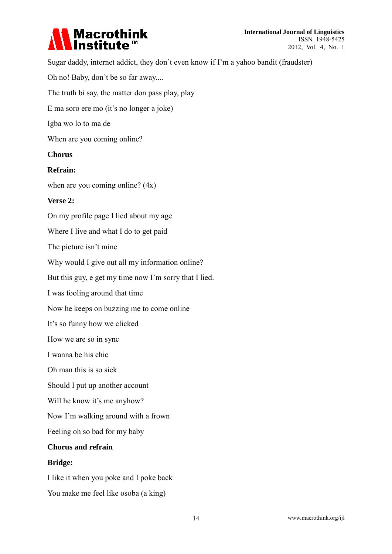### **Macrothink** Institute

Sugar daddy, internet addict, they don't even know if I'm a yahoo bandit (fraudster) Oh no! Baby, don't be so far away.... The truth bi say, the matter don pass play, play E ma soro ere mo (it's no longer a joke) Igba wo lo to ma de When are you coming online? **Chorus Refrain:**  when are you coming online? (4x) **Verse 2:** On my profile page I lied about my age Where I live and what I do to get paid The picture isn't mine Why would I give out all my information online? But this guy, e get my time now I'm sorry that I lied. I was fooling around that time Now he keeps on buzzing me to come online It's so funny how we clicked How we are so in sync I wanna be his chic Oh man this is so sick Should I put up another account Will he know it's me anyhow? Now I'm walking around with a frown Feeling oh so bad for my baby **Chorus and refrain Bridge:** I like it when you poke and I poke back

You make me feel like osoba (a king)